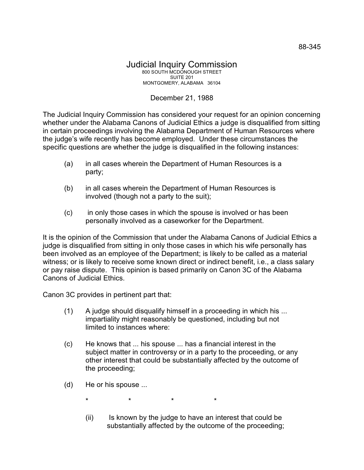## Judicial Inquiry Commission 800 SOUTH MCDONOUGH STREET SUITE 201 MONTGOMERY, ALABAMA 36104

## December 21, 1988

The Judicial Inquiry Commission has considered your request for an opinion concerning whether under the Alabama Canons of Judicial Ethics a judge is disqualified from sitting in certain proceedings involving the Alabama Department of Human Resources where the judge's wife recently has become employed. Under these circumstances the specific questions are whether the judge is disqualified in the following instances:

- (a) in all cases wherein the Department of Human Resources is a party;
- (b) in all cases wherein the Department of Human Resources is involved (though not a party to the suit);
- (c) in only those cases in which the spouse is involved or has been personally involved as a caseworker for the Department.

It is the opinion of the Commission that under the Alabama Canons of Judicial Ethics a judge is disqualified from sitting in only those cases in which his wife personally has been involved as an employee of the Department; is likely to be called as a material witness; or is likely to receive some known direct or indirect benefit, i.e., a class salary or pay raise dispute. This opinion is based primarily on Canon 3C of the Alabama Canons of Judicial Ethics.

Canon 3C provides in pertinent part that:

- (1) A judge should disqualify himself in a proceeding in which his ... impartiality might reasonably be questioned, including but not limited to instances where:
- (c) He knows that ... his spouse ... has a financial interest in the subject matter in controversy or in a party to the proceeding, or any other interest that could be substantially affected by the outcome of the proceeding;
- (d) He or his spouse ...
	- \* \* \* \*
	- (ii) Is known by the judge to have an interest that could be substantially affected by the outcome of the proceeding;